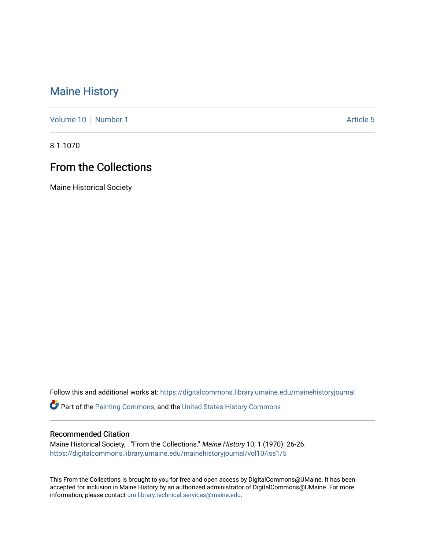## [Maine History](https://digitalcommons.library.umaine.edu/mainehistoryjournal)

[Volume 10](https://digitalcommons.library.umaine.edu/mainehistoryjournal/vol10) [Number 1](https://digitalcommons.library.umaine.edu/mainehistoryjournal/vol10/iss1) Article 5

8-1-1070

## From the Collections

Maine Historical Society

Follow this and additional works at: [https://digitalcommons.library.umaine.edu/mainehistoryjournal](https://digitalcommons.library.umaine.edu/mainehistoryjournal?utm_source=digitalcommons.library.umaine.edu%2Fmainehistoryjournal%2Fvol10%2Fiss1%2F5&utm_medium=PDF&utm_campaign=PDFCoverPages) 

**C** Part of the [Painting Commons](http://network.bepress.com/hgg/discipline/1339?utm_source=digitalcommons.library.umaine.edu%2Fmainehistoryjournal%2Fvol10%2Fiss1%2F5&utm_medium=PDF&utm_campaign=PDFCoverPages), and the United States History Commons

## Recommended Citation

Maine Historical Society, . "From the Collections." Maine History 10, 1 (1970): 26-26. [https://digitalcommons.library.umaine.edu/mainehistoryjournal/vol10/iss1/5](https://digitalcommons.library.umaine.edu/mainehistoryjournal/vol10/iss1/5?utm_source=digitalcommons.library.umaine.edu%2Fmainehistoryjournal%2Fvol10%2Fiss1%2F5&utm_medium=PDF&utm_campaign=PDFCoverPages)

This From the Collections is brought to you for free and open access by DigitalCommons@UMaine. It has been accepted for inclusion in Maine History by an authorized administrator of DigitalCommons@UMaine. For more information, please contact [um.library.technical.services@maine.edu](mailto:um.library.technical.services@maine.edu).